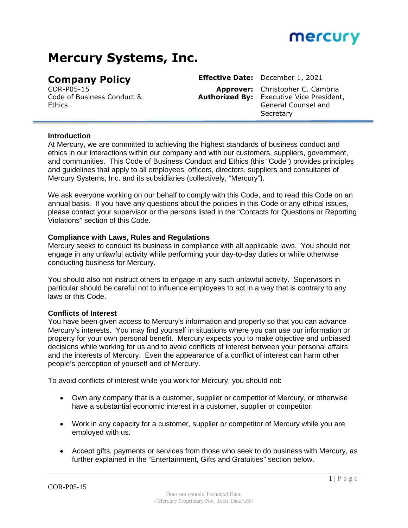

# **Mercury Systems, Inc.**

Code of Business Conduct & **Ethics** 

**Company Policy Effective Date:** December 1, 2021 COR-P05-15 **Approver:** Christopher C. Cambria **Authorized By:** Executive Vice President, General Counsel and **Secretary** 

#### **Introduction**

At Mercury, we are committed to achieving the highest standards of business conduct and ethics in our interactions within our company and with our customers, suppliers, government, and communities. This Code of Business Conduct and Ethics (this "Code") provides principles and guidelines that apply to all employees, officers, directors, suppliers and consultants of Mercury Systems, Inc. and its subsidiaries (collectively, "Mercury").

We ask everyone working on our behalf to comply with this Code, and to read this Code on an annual basis. If you have any questions about the policies in this Code or any ethical issues, please contact your supervisor or the persons listed in the "Contacts for Questions or Reporting Violations" section of this Code.

#### **Compliance with Laws, Rules and Regulations**

Mercury seeks to conduct its business in compliance with all applicable laws. You should not engage in any unlawful activity while performing your day-to-day duties or while otherwise conducting business for Mercury.

You should also not instruct others to engage in any such unlawful activity. Supervisors in particular should be careful not to influence employees to act in a way that is contrary to any laws or this Code.

#### **Conflicts of Interest**

You have been given access to Mercury's information and property so that you can advance Mercury's interests. You may find yourself in situations where you can use our information or property for your own personal benefit. Mercury expects you to make objective and unbiased decisions while working for us and to avoid conflicts of interest between your personal affairs and the interests of Mercury. Even the appearance of a conflict of interest can harm other people's perception of yourself and of Mercury.

To avoid conflicts of interest while you work for Mercury, you should not:

- Own any company that is a customer, supplier or competitor of Mercury, or otherwise have a substantial economic interest in a customer, supplier or competitor.
- Work in any capacity for a customer, supplier or competitor of Mercury while you are employed with us.
- Accept gifts, payments or services from those who seek to do business with Mercury, as further explained in the "Entertainment, Gifts and Gratuities" section below.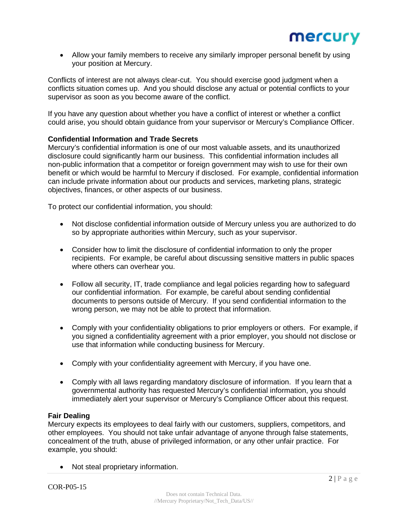Allow your family members to receive any similarly improper personal benefit by using your position at Mercury.

Conflicts of interest are not always clear-cut. You should exercise good judgment when a conflicts situation comes up. And you should disclose any actual or potential conflicts to your supervisor as soon as you become aware of the conflict.

If you have any question about whether you have a conflict of interest or whether a conflict could arise, you should obtain guidance from your supervisor or Mercury's Compliance Officer.

## **Confidential Information and Trade Secrets**

Mercury's confidential information is one of our most valuable assets, and its unauthorized disclosure could significantly harm our business. This confidential information includes all non-public information that a competitor or foreign government may wish to use for their own benefit or which would be harmful to Mercury if disclosed. For example, confidential information can include private information about our products and services, marketing plans, strategic objectives, finances, or other aspects of our business.

To protect our confidential information, you should:

- Not disclose confidential information outside of Mercury unless you are authorized to do so by appropriate authorities within Mercury, such as your supervisor.
- Consider how to limit the disclosure of confidential information to only the proper recipients. For example, be careful about discussing sensitive matters in public spaces where others can overhear you.
- Follow all security, IT, trade compliance and legal policies regarding how to safeguard our confidential information. For example, be careful about sending confidential documents to persons outside of Mercury. If you send confidential information to the wrong person, we may not be able to protect that information.
- Comply with your confidentiality obligations to prior employers or others. For example, if you signed a confidentiality agreement with a prior employer, you should not disclose or use that information while conducting business for Mercury.
- Comply with your confidentiality agreement with Mercury, if you have one.
- Comply with all laws regarding mandatory disclosure of information. If you learn that a governmental authority has requested Mercury's confidential information, you should immediately alert your supervisor or Mercury's Compliance Officer about this request.

#### **Fair Dealing**

Mercury expects its employees to deal fairly with our customers, suppliers, competitors, and other employees. You should not take unfair advantage of anyone through false statements, concealment of the truth, abuse of privileged information, or any other unfair practice. For example, you should:

• Not steal proprietary information.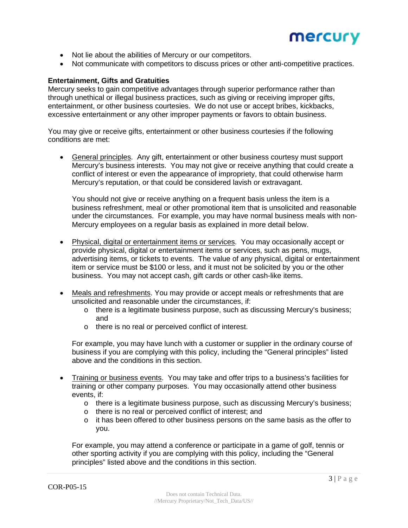

- Not lie about the abilities of Mercury or our competitors.
- Not communicate with competitors to discuss prices or other anti-competitive practices.

#### **Entertainment, Gifts and Gratuities**

Mercury seeks to gain competitive advantages through superior performance rather than through unethical or illegal business practices, such as giving or receiving improper gifts, entertainment, or other business courtesies. We do not use or accept bribes, kickbacks, excessive entertainment or any other improper payments or favors to obtain business.

You may give or receive gifts, entertainment or other business courtesies if the following conditions are met:

• General principles. Any gift, entertainment or other business courtesy must support Mercury's business interests. You may not give or receive anything that could create a conflict of interest or even the appearance of impropriety, that could otherwise harm Mercury's reputation, or that could be considered lavish or extravagant.

You should not give or receive anything on a frequent basis unless the item is a business refreshment, meal or other promotional item that is unsolicited and reasonable under the circumstances. For example, you may have normal business meals with non-Mercury employees on a regular basis as explained in more detail below.

- Physical, digital or entertainment items or services. You may occasionally accept or provide physical, digital or entertainment items or services, such as pens, mugs, advertising items, or tickets to events. The value of any physical, digital or entertainment item or service must be \$100 or less, and it must not be solicited by you or the other business. You may not accept cash, gift cards or other cash-like items.
- Meals and refreshments. You may provide or accept meals or refreshments that are unsolicited and reasonable under the circumstances, if:
	- $\circ$  there is a legitimate business purpose, such as discussing Mercury's business; and
	- o there is no real or perceived conflict of interest.

For example, you may have lunch with a customer or supplier in the ordinary course of business if you are complying with this policy, including the "General principles" listed above and the conditions in this section.

- Training or business events. You may take and offer trips to a business's facilities for training or other company purposes. You may occasionally attend other business events, if:
	- $\circ$  there is a legitimate business purpose, such as discussing Mercury's business;
	- o there is no real or perceived conflict of interest; and
	- $\circ$  it has been offered to other business persons on the same basis as the offer to you.

For example, you may attend a conference or participate in a game of golf, tennis or other sporting activity if you are complying with this policy, including the "General principles" listed above and the conditions in this section.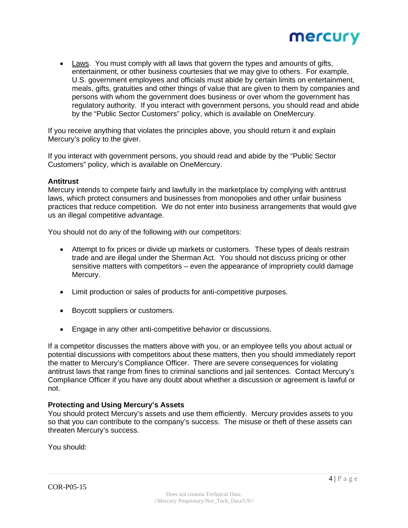

 Laws. You must comply with all laws that govern the types and amounts of gifts, entertainment, or other business courtesies that we may give to others. For example, U.S. government employees and officials must abide by certain limits on entertainment, meals, gifts, gratuities and other things of value that are given to them by companies and persons with whom the government does business or over whom the government has regulatory authority. If you interact with government persons, you should read and abide by the "Public Sector Customers" policy, which is available on OneMercury.

If you receive anything that violates the principles above, you should return it and explain Mercury's policy to the giver.

If you interact with government persons, you should read and abide by the "Public Sector Customers" policy, which is available on OneMercury.

#### **Antitrust**

Mercury intends to compete fairly and lawfully in the marketplace by complying with antitrust laws, which protect consumers and businesses from monopolies and other unfair business practices that reduce competition. We do not enter into business arrangements that would give us an illegal competitive advantage.

You should not do any of the following with our competitors:

- Attempt to fix prices or divide up markets or customers. These types of deals restrain trade and are illegal under the Sherman Act. You should not discuss pricing or other sensitive matters with competitors – even the appearance of impropriety could damage Mercury.
- Limit production or sales of products for anti-competitive purposes.
- Boycott suppliers or customers.
- Engage in any other anti-competitive behavior or discussions.

If a competitor discusses the matters above with you, or an employee tells you about actual or potential discussions with competitors about these matters, then you should immediately report the matter to Mercury's Compliance Officer. There are severe consequences for violating antitrust laws that range from fines to criminal sanctions and jail sentences. Contact Mercury's Compliance Officer if you have any doubt about whether a discussion or agreement is lawful or not.

#### **Protecting and Using Mercury's Assets**

You should protect Mercury's assets and use them efficiently. Mercury provides assets to you so that you can contribute to the company's success. The misuse or theft of these assets can threaten Mercury's success.

You should: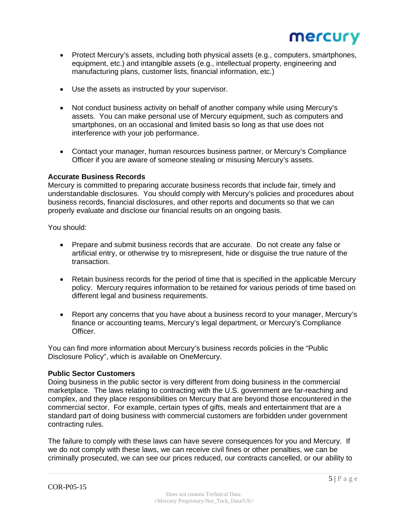

- Protect Mercury's assets, including both physical assets (e.g., computers, smartphones, equipment, etc.) and intangible assets (e.g., intellectual property, engineering and manufacturing plans, customer lists, financial information, etc.)
- Use the assets as instructed by your supervisor.
- Not conduct business activity on behalf of another company while using Mercury's assets. You can make personal use of Mercury equipment, such as computers and smartphones, on an occasional and limited basis so long as that use does not interference with your job performance.
- Contact your manager, human resources business partner, or Mercury's Compliance Officer if you are aware of someone stealing or misusing Mercury's assets.

#### **Accurate Business Records**

Mercury is committed to preparing accurate business records that include fair, timely and understandable disclosures. You should comply with Mercury's policies and procedures about business records, financial disclosures, and other reports and documents so that we can properly evaluate and disclose our financial results on an ongoing basis.

You should:

- Prepare and submit business records that are accurate. Do not create any false or artificial entry, or otherwise try to misrepresent, hide or disguise the true nature of the transaction.
- Retain business records for the period of time that is specified in the applicable Mercury policy. Mercury requires information to be retained for various periods of time based on different legal and business requirements.
- Report any concerns that you have about a business record to your manager, Mercury's finance or accounting teams, Mercury's legal department, or Mercury's Compliance Officer.

You can find more information about Mercury's business records policies in the "Public Disclosure Policy", which is available on OneMercury.

#### **Public Sector Customers**

Doing business in the public sector is very different from doing business in the commercial marketplace. The laws relating to contracting with the U.S. government are far-reaching and complex, and they place responsibilities on Mercury that are beyond those encountered in the commercial sector. For example, certain types of gifts, meals and entertainment that are a standard part of doing business with commercial customers are forbidden under government contracting rules.

The failure to comply with these laws can have severe consequences for you and Mercury. If we do not comply with these laws, we can receive civil fines or other penalties, we can be criminally prosecuted, we can see our prices reduced, our contracts cancelled, or our ability to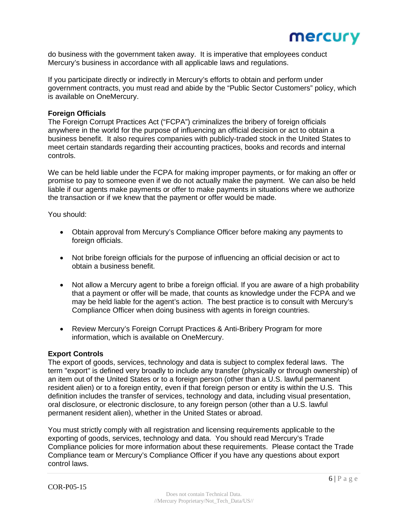

do business with the government taken away. It is imperative that employees conduct Mercury's business in accordance with all applicable laws and regulations.

If you participate directly or indirectly in Mercury's efforts to obtain and perform under government contracts, you must read and abide by the "Public Sector Customers" policy, which is available on OneMercury.

#### **Foreign Officials**

The Foreign Corrupt Practices Act ("FCPA") criminalizes the bribery of foreign officials anywhere in the world for the purpose of influencing an official decision or act to obtain a business benefit. It also requires companies with publicly-traded stock in the United States to meet certain standards regarding their accounting practices, books and records and internal controls.

We can be held liable under the FCPA for making improper payments, or for making an offer or promise to pay to someone even if we do not actually make the payment. We can also be held liable if our agents make payments or offer to make payments in situations where we authorize the transaction or if we knew that the payment or offer would be made.

You should:

- Obtain approval from Mercury's Compliance Officer before making any payments to foreign officials.
- Not bribe foreign officials for the purpose of influencing an official decision or act to obtain a business benefit.
- Not allow a Mercury agent to bribe a foreign official. If you are aware of a high probability that a payment or offer will be made, that counts as knowledge under the FCPA and we may be held liable for the agent's action. The best practice is to consult with Mercury's Compliance Officer when doing business with agents in foreign countries.
- Review Mercury's Foreign Corrupt Practices & Anti-Bribery Program for more information, which is available on OneMercury.

#### **Export Controls**

The export of goods, services, technology and data is subject to complex federal laws. The term "export" is defined very broadly to include any transfer (physically or through ownership) of an item out of the United States or to a foreign person (other than a U.S. lawful permanent resident alien) or to a foreign entity, even if that foreign person or entity is within the U.S. This definition includes the transfer of services, technology and data, including visual presentation, oral disclosure, or electronic disclosure, to any foreign person (other than a U.S. lawful permanent resident alien), whether in the United States or abroad.

You must strictly comply with all registration and licensing requirements applicable to the exporting of goods, services, technology and data. You should read Mercury's Trade Compliance policies for more information about these requirements. Please contact the Trade Compliance team or Mercury's Compliance Officer if you have any questions about export control laws.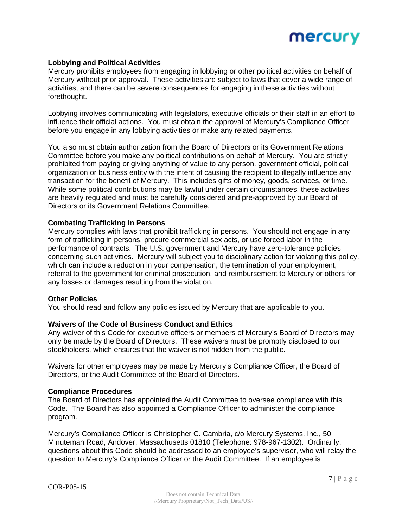

### **Lobbying and Political Activities**

Mercury prohibits employees from engaging in lobbying or other political activities on behalf of Mercury without prior approval. These activities are subject to laws that cover a wide range of activities, and there can be severe consequences for engaging in these activities without forethought.

Lobbying involves communicating with legislators, executive officials or their staff in an effort to influence their official actions. You must obtain the approval of Mercury's Compliance Officer before you engage in any lobbying activities or make any related payments.

You also must obtain authorization from the Board of Directors or its Government Relations Committee before you make any political contributions on behalf of Mercury. You are strictly prohibited from paying or giving anything of value to any person, government official, political organization or business entity with the intent of causing the recipient to illegally influence any transaction for the benefit of Mercury. This includes gifts of money, goods, services, or time. While some political contributions may be lawful under certain circumstances, these activities are heavily regulated and must be carefully considered and pre-approved by our Board of Directors or its Government Relations Committee.

#### **Combating Trafficking in Persons**

Mercury complies with laws that prohibit trafficking in persons. You should not engage in any form of trafficking in persons, procure commercial sex acts, or use forced labor in the performance of contracts. The U.S. government and Mercury have zero-tolerance policies concerning such activities. Mercury will subject you to disciplinary action for violating this policy, which can include a reduction in your compensation, the termination of your employment, referral to the government for criminal prosecution, and reimbursement to Mercury or others for any losses or damages resulting from the violation.

#### **Other Policies**

You should read and follow any policies issued by Mercury that are applicable to you.

#### **Waivers of the Code of Business Conduct and Ethics**

Any waiver of this Code for executive officers or members of Mercury's Board of Directors may only be made by the Board of Directors. These waivers must be promptly disclosed to our stockholders, which ensures that the waiver is not hidden from the public.

Waivers for other employees may be made by Mercury's Compliance Officer, the Board of Directors, or the Audit Committee of the Board of Directors.

#### **Compliance Procedures**

The Board of Directors has appointed the Audit Committee to oversee compliance with this Code. The Board has also appointed a Compliance Officer to administer the compliance program.

Mercury's Compliance Officer is Christopher C. Cambria, c/o Mercury Systems, Inc., 50 Minuteman Road, Andover, Massachusetts 01810 (Telephone: 978-967-1302). Ordinarily, questions about this Code should be addressed to an employee's supervisor, who will relay the question to Mercury's Compliance Officer or the Audit Committee. If an employee is